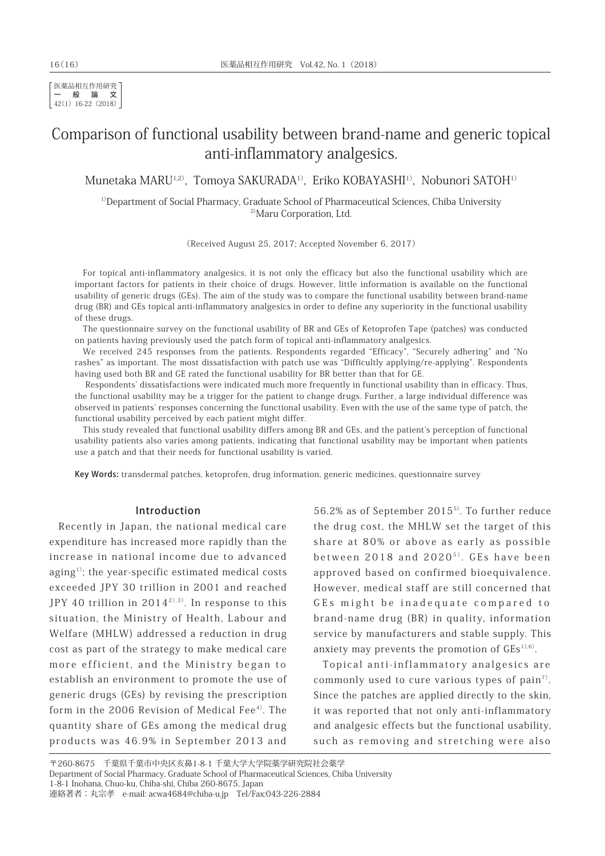医薬品相互作用研究 一般論文 42(1) 16-22 (2018)

# Comparison of functional usability between brand-name and generic topical anti-inflammatory analgesics.

Munetaka MARU<sup>1,2)</sup>, Tomoya SAKURADA<sup>1)</sup>, Eriko KOBAYASHI<sup>1)</sup>, Nobunori SATOH<sup>1)</sup>

<sup>1)</sup>Department of Social Pharmacy, Graduate School of Pharmaceutical Sciences, Chiba University 2)Maru Corporation, Ltd.

(Received August 25, 2017; Accepted November 6, 2017)

For topical anti-inflammatory analgesics, it is not only the efficacy but also the functional usability which are important factors for patients in their choice of drugs. However, little information is available on the functional usability of generic drugs (GEs). The aim of the study was to compare the functional usability between brand-name drug (BR) and GEs topical anti-inflammatory analgesics in order to define any superiority in the functional usability of these drugs.

The questionnaire survey on the functional usability of BR and GEs of Ketoprofen Tape (patches) was conducted on patients having previously used the patch form of topical anti-inflammatory analgesics.

We received 245 responses from the patients. Respondents regarded "Efficacy", "Securely adhering" and "No rashes" as important. The most dissatisfaction with patch use was "Difficultly applying/re-applying". Respondents having used both BR and GE rated the functional usability for BR better than that for GE.

 Respondents' dissatisfactions were indicated much more frequently in functional usability than in efficacy. Thus, the functional usability may be a trigger for the patient to change drugs. Further, a large individual difference was observed in patients' responses concerning the functional usability. Even with the use of the same type of patch, the functional usability perceived by each patient might differ.

This study revealed that functional usability differs among BR and GEs, and the patient's perception of functional usability patients also varies among patients, indicating that functional usability may be important when patients use a patch and that their needs for functional usability is varied.

Key Words: transdermal patches, ketoprofen, drug information, generic medicines, questionnaire survey

### Introduction

Recently in Japan, the national medical care expenditure has increased more rapidly than the increase in national income due to advanced aging<sup>1)</sup>; the year-specific estimated medical costs exceeded JPY 30 trillion in 2001 and reached JPY 40 trillion in  $2014^{20,30}$ . In response to this situation, the Ministry of Health, Labour and Welfare (MHLW) addressed a reduction in drug cost as part of the strategy to make medical care more efficient, and the Ministry began to establish an environment to promote the use of generic drugs (GEs) by revising the prescription form in the 2006 Revision of Medical Fee $4$ <sup>0</sup>. The quantity share of GEs among the medical drug products was 46.9% in September 2013 and

56.2% as of September 20155). To further reduce the drug cost, the MHLW set the target of this share at 80% or above as early as possible between  $2018$  and  $2020^{5}$ . GEs have been approved based on confirmed bioequivalence. However, medical staff are still concerned that GEs might be inadequate compared to brand-name drug (BR) in quality, information service by manufacturers and stable supply. This anxiety may prevents the promotion of  $GES<sup>1</sup>,6$ .

Topical anti-inflammatory analgesics are commonly used to cure various types of pain<sup> $7$ </sup>. Since the patches are applied directly to the skin, it was reported that not only anti-inflammatory and analgesic effects but the functional usability, such as removing and stretching were also

<sup>〒260-8675</sup> 千葉県千葉市中央区亥鼻1-8-1 千葉大学大学院薬学研究院社会薬学 Department of Social Pharmacy, Graduate School of Pharmaceutical Sciences, Chiba University 1-8-1 Inohana, Chuo-ku, Chiba-shi, Chiba 260-8675, Japan 連絡著者:丸宗孝 e-mail: acwa4684@chiba-u.jp Tel/Fax:043-226-2884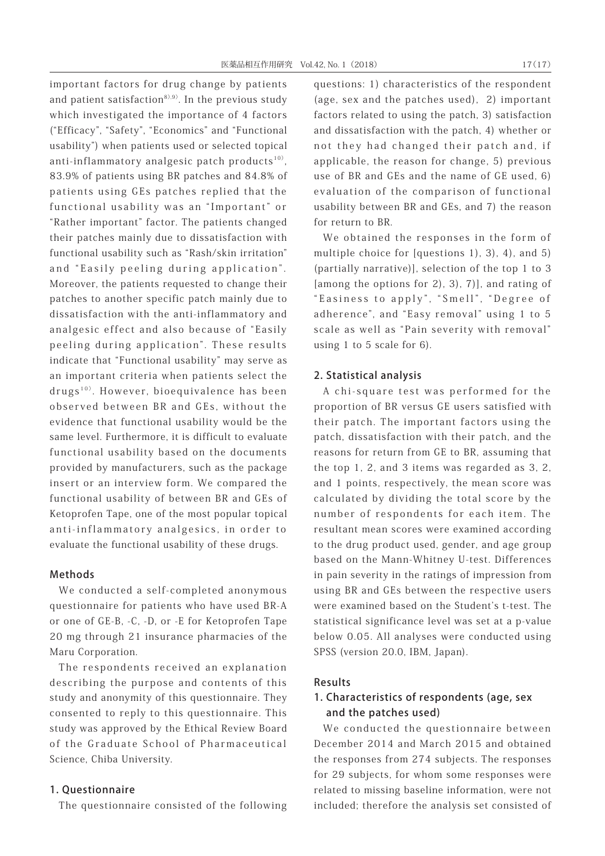important factors for drug change by patients and patient satisfaction $8^{(3,9)}$ . In the previous study which investigated the importance of 4 factors ("Efficacy", "Safety", "Economics" and "Functional usability") when patients used or selected topical anti-inflammatory analgesic patch products<sup>10)</sup>, 83.9% of patients using BR patches and 84.8% of patients using GEs patches replied that the functional usability was an "Important" or "Rather important" factor. The patients changed their patches mainly due to dissatisfaction with functional usability such as "Rash/skin irritation" and "Easily peeling during application". Moreover, the patients requested to change their patches to another specific patch mainly due to dissatisfaction with the anti-inflammatory and analgesic effect and also because of "Easily peeling during application". These results indicate that "Functional usability" may serve as an important criteria when patients select the drugs<sup>10)</sup>. However, bioequivalence has been observed between BR and GEs, without the evidence that functional usability would be the same level. Furthermore, it is difficult to evaluate functional usability based on the documents provided by manufacturers, such as the package insert or an interview form. We compared the functional usability of between BR and GEs of Ketoprofen Tape, one of the most popular topical anti-inflammatory analgesics, in order to evaluate the functional usability of these drugs.

## Methods

We conducted a self-completed anonymous questionnaire for patients who have used BR-A or one of GE-B, -C, -D, or -E for Ketoprofen Tape 20 mg through 21 insurance pharmacies of the Maru Corporation.

The respondents received an explanation describing the purpose and contents of this study and anonymity of this questionnaire. They consented to reply to this questionnaire. This study was approved by the Ethical Review Board of the Graduate School of Pharmaceutical Science, Chiba University.

#### 1. Questionnaire

The questionnaire consisted of the following

questions: 1) characteristics of the respondent (age, sex and the patches used), 2) important factors related to using the patch, 3) satisfaction and dissatisfaction with the patch, 4) whether or not they had changed their patch and, if applicable, the reason for change, 5) previous use of BR and GEs and the name of GE used, 6) evaluation of the comparison of functional usability between BR and GEs, and 7) the reason for return to BR.

We obtained the responses in the form of multiple choice for [questions 1), 3), 4), and 5) (partially narrative)], selection of the top 1 to 3 [among the options for 2), 3), 7)], and rating of "Easiness to apply", "Smell", "Degree of adherence", and "Easy removal" using 1 to 5 scale as well as "Pain severity with removal" using 1 to 5 scale for 6).

#### 2. Statistical analysis

A chi-square test was performed for the proportion of BR versus GE users satisfied with their patch. The important factors using the patch, dissatisfaction with their patch, and the reasons for return from GE to BR, assuming that the top 1, 2, and 3 items was regarded as 3, 2, and 1 points, respectively, the mean score was calculated by dividing the total score by the number of respondents for each item. The resultant mean scores were examined according to the drug product used, gender, and age group based on the Mann-Whitney U-test. Differences in pain severity in the ratings of impression from using BR and GEs between the respective users were examined based on the Student's t-test. The statistical significance level was set at a p-value below 0.05. All analyses were conducted using SPSS (version 20.0, IBM, Japan).

#### Results

# 1. Characteristics of respondents (age, sex and the patches used)

We conducted the questionnaire between December 2014 and March 2015 and obtained the responses from 274 subjects. The responses for 29 subjects, for whom some responses were related to missing baseline information, were not included; therefore the analysis set consisted of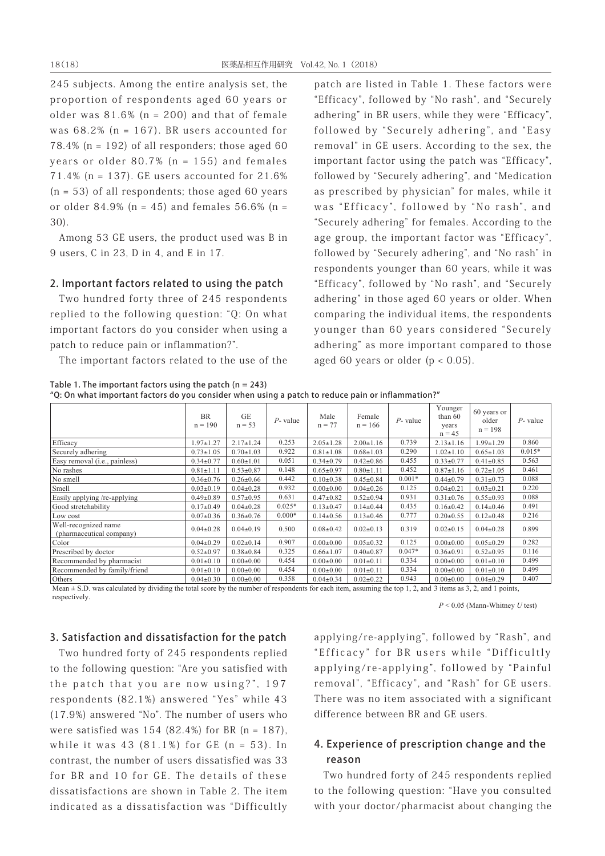245 subjects. Among the entire analysis set, the proportion of respondents aged 60 years or older was  $81.6\%$  (n = 200) and that of female was 68.2% (n = 167). BR users accounted for 78.4% ( $n = 192$ ) of all responders; those aged 60 years or older 80.7% (n = 155) and females 71.4% (n = 137). GE users accounted for 21.6%  $(n = 53)$  of all respondents; those aged 60 years or older 84.9% ( $n = 45$ ) and females 56.6% ( $n =$ 30).

Among 53 GE users, the product used was B in 9 users, C in 23, D in 4, and E in 17.

## 2. Important factors related to using the patch

Two hundred forty three of 245 respondents replied to the following question: "Q: On what important factors do you consider when using a patch to reduce pain or inflammation?".

The important factors related to the use of the

patch are listed in Table 1. These factors were "Efficacy", followed by "No rash", and "Securely adhering" in BR users, while they were "Efficacy", followed by "Securely adhering", and "Easy removal" in GE users. According to the sex, the important factor using the patch was "Efficacy", followed by "Securely adhering", and "Medication as prescribed by physician" for males, while it was "Efficacy", followed by "No rash", and "Securely adhering" for females. According to the age group, the important factor was "Efficacy", followed by "Securely adhering", and "No rash" in respondents younger than 60 years, while it was "Efficacy", followed by "No rash", and "Securely adhering" in those aged 60 years or older. When comparing the individual items, the respondents younger than 60 years considered "Securely adhering" as more important compared to those aged 60 years or older  $(p < 0.05)$ .

Table 1. The important factors using the patch  $(n = 243)$ "Q: On what important factors do you consider when using a patch to reduce pain or inflammation?"

|                                                  | <b>BR</b><br>$n = 190$ | GE<br>$n = 53$  | $P$ - value | Male<br>$n = 77$ | Female<br>$n = 166$ | $P$ - value | Younger<br>than $60$<br>years<br>$n = 45$ | 60 years or<br>older<br>$n = 198$ | $P$ - value |
|--------------------------------------------------|------------------------|-----------------|-------------|------------------|---------------------|-------------|-------------------------------------------|-----------------------------------|-------------|
| Efficacy                                         | $1.97 \pm 1.27$        | $2.17 \pm 1.24$ | 0.253       | $2.05 \pm 1.28$  | $2.00 \pm 1.16$     | 0.739       | $2.13 \pm 1.16$                           | $1.99 \pm 1.29$                   | 0.860       |
| Securely adhering                                | $0.73 \pm 1.05$        | $0.70 \pm 1.03$ | 0.922       | $0.81 \pm 1.08$  | $0.68 \pm 1.03$     | 0.290       | $1.02 \pm 1.10$                           | $0.65 \pm 1.03$                   | $0.015*$    |
| Easy removal ( <i>i.e.</i> , painless)           | $0.34 \pm 0.77$        | $0.60 \pm 1.01$ | 0.051       | $0.34 \pm 0.79$  | $0.42 \pm 0.86$     | 0.455       | $0.33 \pm 0.77$                           | $0.41 \pm 0.85$                   | 0.563       |
| No rashes                                        | $0.81 \pm 1.11$        | $0.53 \pm 0.87$ | 0.148       | $0.65 \pm 0.97$  | $0.80 \pm 1.11$     | 0.452       | $0.87 \pm 1.16$                           | $0.72 \pm 1.05$                   | 0.461       |
| No smell                                         | $0.36 \pm 0.76$        | $0.26 \pm 0.66$ | 0.442       | $0.10 \pm 0.38$  | $0.45 \pm 0.84$     | $0.001*$    | $0.44 \pm 0.79$                           | $0.31 \pm 0.73$                   | 0.088       |
| Smell                                            | $0.03 \pm 0.19$        | $0.04 \pm 0.28$ | 0.932       | $0.00 \pm 0.00$  | $0.04 \pm 0.26$     | 0.125       | $0.04 \pm 0.21$                           | $0.03 \pm 0.21$                   | 0.220       |
| Easily applying /re-applying                     | $0.49 \pm 0.89$        | $0.57 \pm 0.95$ | 0.631       | $0.47 \pm 0.82$  | $0.52 \pm 0.94$     | 0.931       | $0.31 \pm 0.76$                           | $0.55 \pm 0.93$                   | 0.088       |
| Good stretchability                              | $0.17+0.49$            | $0.04 \pm 0.28$ | $0.025*$    | $0.13 \pm 0.47$  | $0.14 \pm 0.44$     | 0.435       | $0.16 \pm 0.42$                           | $0.14 \pm 0.46$                   | 0.491       |
| Low cost                                         | $0.07 \pm 0.36$        | $0.36 \pm 0.76$ | $0.000*$    | $0.14 \pm 0.56$  | $0.13 \pm 0.46$     | 0.777       | $0.20 \pm 0.55$                           | $0.12 \pm 0.48$                   | 0.216       |
| Well-recognized name<br>(pharmaceutical company) | $0.04 \pm 0.28$        | $0.04 \pm 0.19$ | 0.500       | $0.08 \pm 0.42$  | $0.02 \pm 0.13$     | 0.319       | $0.02 \pm 0.15$                           | $0.04 \pm 0.28$                   | 0.899       |
| Color                                            | $0.04 \pm 0.29$        | $0.02 \pm 0.14$ | 0.907       | $0.00 \pm 0.00$  | $0.05 \pm 0.32$     | 0.125       | $0.00 \pm 0.00$                           | $0.05 \pm 0.29$                   | 0.282       |
| Prescribed by doctor                             | $0.52 \pm 0.97$        | $0.38 \pm 0.84$ | 0.325       | $0.66 \pm 1.07$  | $0.40 \pm 0.87$     | $0.047*$    | $0.36 \pm 0.91$                           | $0.52 \pm 0.95$                   | 0.116       |
| Recommended by pharmacist                        | $0.01 \pm 0.10$        | $0.00 \pm 0.00$ | 0.454       | $0.00 \pm 0.00$  | $0.01 \pm 0.11$     | 0.334       | $0.00 \pm 0.00$                           | $0.01 \pm 0.10$                   | 0.499       |
| Recommended by family/friend                     | $0.01 \pm 0.10$        | $0.00 \pm 0.00$ | 0.454       | $0.00 \pm 0.00$  | $0.01 \pm 0.11$     | 0.334       | $0.00 \pm 0.00$                           | $0.01 \pm 0.10$                   | 0.499       |
| Others                                           | $0.04 \pm 0.30$        | $0.00 \pm 0.00$ | 0.358       | $0.04 \pm 0.34$  | $0.02 \pm 0.22$     | 0.943       | $0.00 \pm 0.00$                           | $0.04 \pm 0.29$                   | 0.407       |

Mean  $\pm$  S.D. was calculated by dividing the total score by the number of respondents for each item, assuming the top 1, 2, and 3 items as 3, 2, and 1 points, respectively.

*P* < 0.05 (Mann-Whitney *U* test)

#### 3. Satisfaction and dissatisfaction for the patch

Two hundred forty of 245 respondents replied to the following question: "Are you satisfied with the patch that you are now using?", 197 respondents (82.1%) answered "Yes" while 43 (17.9%) answered "No". The number of users who were satisfied was  $154$  (82.4%) for BR (n = 187), while it was  $43$   $(81.1\%)$  for GE  $(n = 53)$ . In contrast, the number of users dissatisfied was 33 for BR and 10 for GE. The details of these dissatisfactions are shown in Table 2. The item indicated as a dissatisfaction was "Difficultly applying/re-applying", followed by "Rash", and "Efficacy" for BR users while "Difficultly applying/re-applying", followed by "Painful removal", "Efficacy", and "Rash" for GE users. There was no item associated with a significant difference between BR and GE users.

# 4. Experience of prescription change and the reason

Two hundred forty of 245 respondents replied to the following question: "Have you consulted with your doctor/pharmacist about changing the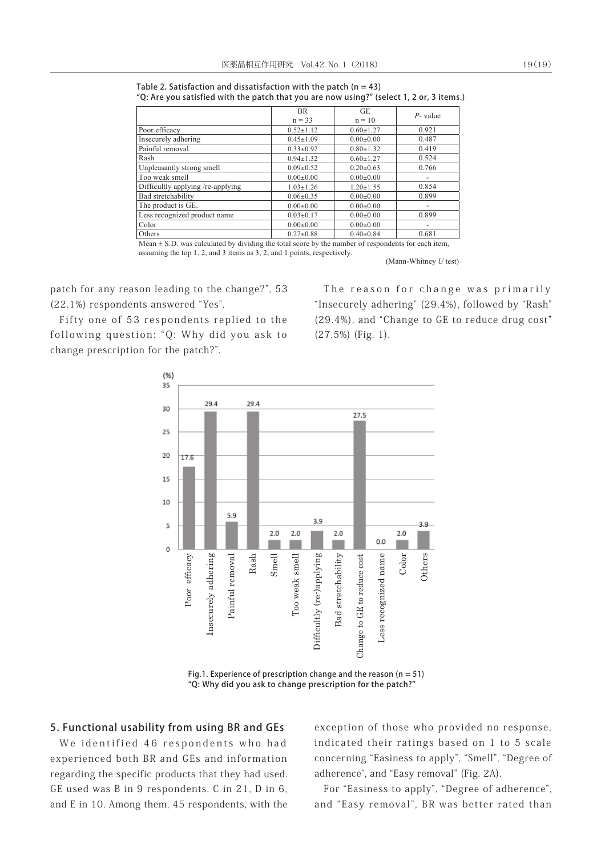Table 2. Satisfaction and dissatisfaction with the patch ( $n = 43$ ) "Q: Are you satisfied with the patch that you are now using?" (select 1, 2 or, 3 items.)

| BR.             | GE              | $P$ - value              |  |
|-----------------|-----------------|--------------------------|--|
| $n = 33$        | $n = 10$        |                          |  |
| $0.52 \pm 1.12$ | $0.60 \pm 1.27$ | 0.921                    |  |
| $0.45 \pm 1.09$ | $0.00 \pm 0.00$ | 0.487                    |  |
| $0.33 \pm 0.92$ | $0.80 \pm 1.32$ | 0.419                    |  |
| $0.94 \pm 1.32$ | $0.60 \pm 1.27$ | 0.524                    |  |
| $0.09 \pm 0.52$ | $0.20 \pm 0.63$ | 0.766                    |  |
| $0.00 \pm 0.00$ | $0.00 \pm 0.00$ | $\overline{\phantom{a}}$ |  |
| $1.03 \pm 1.26$ | $1.20 \pm 1.55$ | 0.854                    |  |
| $0.06 \pm 0.35$ | $0.00 \pm 0.00$ | 0.899                    |  |
| $0.00 \pm 0.00$ | $0.00 \pm 0.00$ | $\overline{\phantom{0}}$ |  |
| $0.03 \pm 0.17$ | $0.00 \pm 0.00$ | 0.899                    |  |
| $0.00 \pm 0.00$ | $0.00 \pm 0.00$ | $\overline{\phantom{a}}$ |  |
| $0.27 \pm 0.88$ | $0.40 \pm 0.84$ | 0.681                    |  |
|                 |                 |                          |  |

Mean  $\pm$  S.D. was calculated by dividing the total score by the number of respondents for each item, assuming the top 1, 2, and 3 items as 3, 2, and 1 points, respectively.

(Mann-Whitney *U* test)

patch for any reason leading to the change?", 53 (22.1%) respondents answered "Yes".

Fifty one of 53 respondents replied to the following question: "Q: Why did you ask to change prescription for the patch?".

The reason for change was primarily "Insecurely adhering" (29.4%), followed by "Rash" (29.4%), and "Change to GE to reduce drug cost" (27.5%) (Fig. 1).



Fig.1. Experience of prescription change and the reason ( $n = 51$ ) "Q: Why did you ask to change prescription for the patch?"

## 5. Functional usability from using BR and GEs

We identified 46 respondents who had experienced both BR and GEs and information regarding the specific products that they had used. GE used was B in 9 respondents, C in 21, D in 6, and E in 10. Among them, 45 respondents, with the exception of those who provided no response, indicated their ratings based on 1 to 5 scale concerning "Easiness to apply", "Smell", "Degree of adherence", and "Easy removal" (Fig. 2A).

For "Easiness to apply", "Degree of adherence", and "Easy removal", BR was better rated than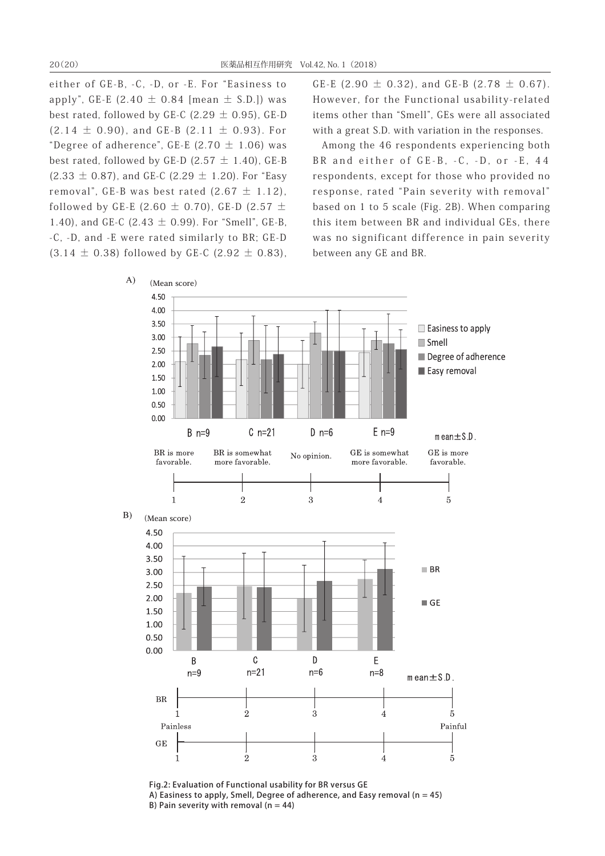either of GE-B, -C, -D, or -E. For "Easiness to apply", GE-E  $(2.40 \pm 0.84$  [mean  $\pm$  S.D.]) was best rated, followed by GE-C (2.29  $\pm$  0.95), GE-D  $(2.14 \pm 0.90)$ , and GE-B  $(2.11 \pm 0.93)$ . For "Degree of adherence", GE-E (2.70  $\pm$  1.06) was best rated, followed by GE-D (2.57  $\pm$  1.40), GE-B  $(2.33 \pm 0.87)$ , and GE-C  $(2.29 \pm 1.20)$ . For "Easy removal", GE-B was best rated  $(2.67 \pm 1.12)$ , followed by GE-E (2.60  $\pm$  0.70), GE-D (2.57  $\pm$ 1.40), and GE-C (2.43  $\pm$  0.99). For "Smell", GE-B, -C, -D, and -E were rated similarly to BR; GE-D  $(3.14 \pm 0.38)$  followed by GE-C  $(2.92 \pm 0.83)$ ,

GE-E (2.90  $\pm$  0.32), and GE-B (2.78  $\pm$  0.67). However, for the Functional usability-related items other than "Smell", GEs were all associated with a great S.D. with variation in the responses.

Among the 46 respondents experiencing both BR and either of GE-B, -C, -D, or -E, 44 respondents, except for those who provided no response, rated "Pain severity with removal" based on 1 to 5 scale (Fig. 2B). When comparing this item between BR and individual GEs, there was no significant difference in pain severity between any GE and BR.



Fig.2: Evaluation of Functional usability for BR versus GE A) Easiness to apply, Smell, Degree of adherence, and Easy removal ( $n = 45$ ) B) Pain severity with removal  $(n = 44)$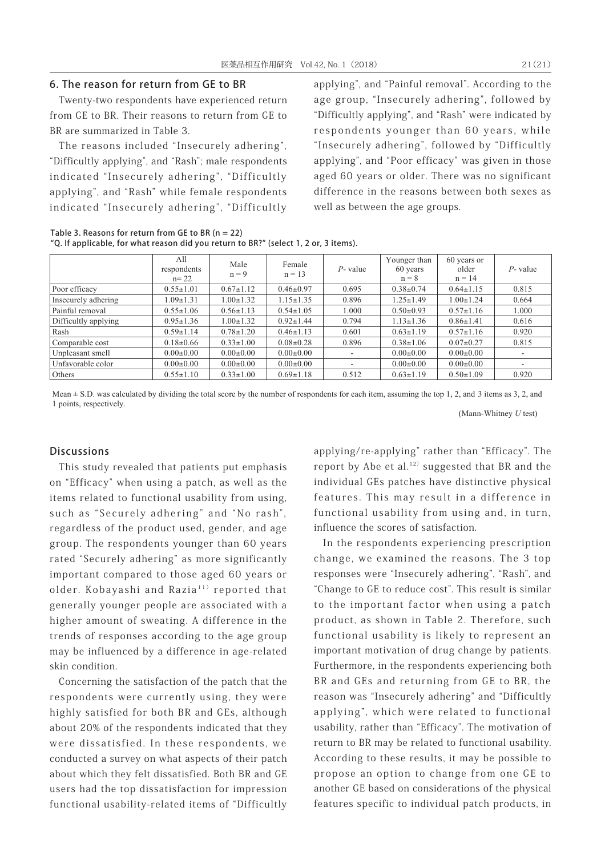## 6. The reason for return from GE to BR

Twenty-two respondents have experienced return from GE to BR. Their reasons to return from GE to BR are summarized in Table 3.

The reasons included "Insecurely adhering", "Difficultly applying", and "Rash"; male respondents indicated "Insecurely adhering", "Difficultly applying", and "Rash" while female respondents indicated "Insecurely adhering", "Difficultly

applying", and "Painful removal". According to the age group, "Insecurely adhering", followed by "Difficultly applying", and "Rash" were indicated by respondents younger than 60 years, while "Insecurely adhering", followed by "Difficultly applying", and "Poor efficacy" was given in those aged 60 years or older. There was no significant difference in the reasons between both sexes as well as between the age groups.

Table 3. Reasons for return from GE to BR ( $n = 22$ ) "Q. If applicable, for what reason did you return to BR?" (select 1, 2 or, 3 items).

|                      | All<br>respondents<br>$n = 22$ | Male<br>$n = 9$ | Female<br>$n = 13$ | $P$ - value | Younger than<br>60 years<br>$n = 8$ | 60 years or<br>older<br>$n = 14$ | $P$ - value              |
|----------------------|--------------------------------|-----------------|--------------------|-------------|-------------------------------------|----------------------------------|--------------------------|
| Poor efficacy        | $0.55 \pm 1.01$                | $0.67 \pm 1.12$ | $0.46 \pm 0.97$    | 0.695       | $0.38 \pm 0.74$                     | $0.64 \pm 1.15$                  | 0.815                    |
| Insecurely adhering  | $1.09 \pm 1.31$                | $1.00 \pm 1.32$ | $1.15 \pm 1.35$    | 0.896       | $1.25 \pm 1.49$                     | $1.00 \pm 1.24$                  | 0.664                    |
| Painful removal      | $0.55 \pm 1.06$                | $0.56 \pm 1.13$ | $0.54 \pm 1.05$    | 1.000       | $0.50 \pm 0.93$                     | $0.57 \pm 1.16$                  | 1.000                    |
| Difficultly applying | $0.95 \pm 1.36$                | $1.00 \pm 1.32$ | $0.92 \pm 1.44$    | 0.794       | $1.13 \pm 1.36$                     | $0.86 \pm 1.41$                  | 0.616                    |
| Rash                 | $0.59 \pm 1.14$                | $0.78 \pm 1.20$ | $0.46 \pm 1.13$    | 0.601       | $0.63 \pm 1.19$                     | $0.57 \pm 1.16$                  | 0.920                    |
| Comparable cost      | $0.18 \pm 0.66$                | $0.33 \pm 1.00$ | $0.08 \pm 0.28$    | 0.896       | $0.38 \pm 1.06$                     | $0.07+0.27$                      | 0.815                    |
| Unpleasant smell     | $0.00 \pm 0.00$                | $0.00 \pm 0.00$ | $0.00 \pm 0.00$    | -           | $0.00 \pm 0.00$                     | $0.00 \pm 0.00$                  |                          |
| Unfavorable color    | $0.00 \pm 0.00$                | $0.00 \pm 0.00$ | $0.00 \pm 0.00$    |             | $0.00 \pm 0.00$                     | $0.00 \pm 0.00$                  | $\overline{\phantom{a}}$ |
| Others               | $0.55 \pm 1.10$                | $0.33 \pm 1.00$ | $0.69 \pm 1.18$    | 0.512       | $0.63 \pm 1.19$                     | $0.50 \pm 1.09$                  | 0.920                    |

Mean  $\pm$  S.D. was calculated by dividing the total score by the number of respondents for each item, assuming the top 1, 2, and 3 items as 3, 2, and 1 points, respectively.

(Mann-Whitney *U* test)

### Discussions

This study revealed that patients put emphasis on "Efficacy" when using a patch, as well as the items related to functional usability from using, such as "Securely adhering" and "No rash", regardless of the product used, gender, and age group. The respondents younger than 60 years rated "Securely adhering" as more significantly important compared to those aged 60 years or older. Kobayashi and Razia<sup>11)</sup> reported that generally younger people are associated with a higher amount of sweating. A difference in the trends of responses according to the age group may be influenced by a difference in age-related skin condition.

Concerning the satisfaction of the patch that the respondents were currently using, they were highly satisfied for both BR and GEs, although about 20% of the respondents indicated that they were dissatisfied. In these respondents, we conducted a survey on what aspects of their patch about which they felt dissatisfied. Both BR and GE users had the top dissatisfaction for impression functional usability-related items of "Difficultly

applying/re-applying" rather than "Efficacy". The report by Abe et al. $12$  suggested that BR and the individual GEs patches have distinctive physical features. This may result in a difference in functional usability from using and, in turn, influence the scores of satisfaction.

In the respondents experiencing prescription change, we examined the reasons. The 3 top responses were "Insecurely adhering", "Rash", and "Change to GE to reduce cost". This result is similar to the important factor when using a patch product, as shown in Table 2. Therefore, such functional usability is likely to represent an important motivation of drug change by patients. Furthermore, in the respondents experiencing both BR and GEs and returning from GE to BR, the reason was "Insecurely adhering" and "Difficultly applying", which were related to functional usability, rather than "Efficacy". The motivation of return to BR may be related to functional usability. According to these results, it may be possible to propose an option to change from one GE to another GE based on considerations of the physical features specific to individual patch products, in